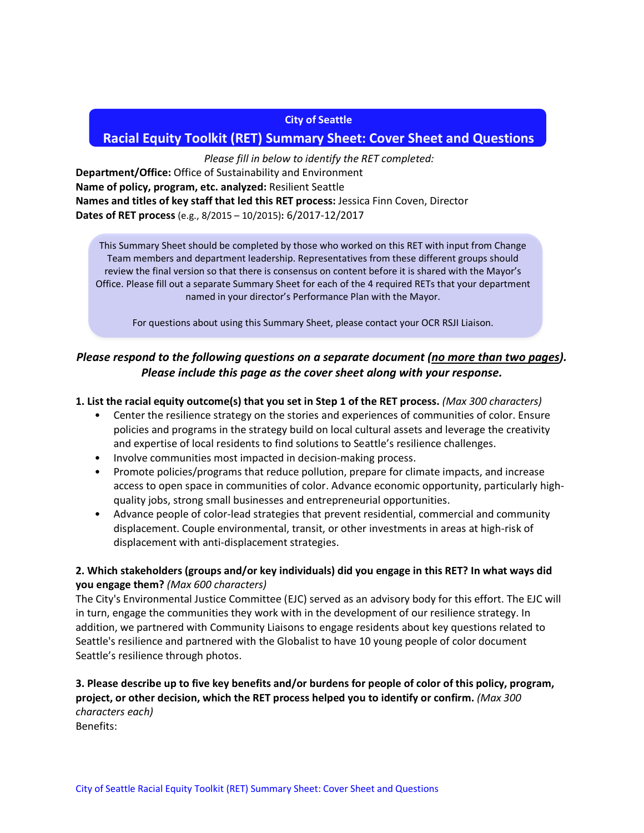#### **City of Seattle**

# **Racial Equity Toolkit (RET) Summary Sheet: Cover Sheet and Questions**

#### *Please fill in below to identify the RET completed:*

**Department/Office:** Office of Sustainability and Environment **Name of policy, program, etc. analyzed:** Resilient Seattle **Names and titles of key staff that led this RET process:** Jessica Finn Coven, Director **Dates of RET process** (e.g., 8/2015 – 10/2015)**:** 6/2017-12/2017

This Summary Sheet should be completed by those who worked on this RET with input from Change Team members and department leadership. Representatives from these different groups should review the final version so that there is consensus on content before it is shared with the Mayor's Office. Please fill out a separate Summary Sheet for each of the 4 required RETs that your department named in your director's Performance Plan with the Mayor.

For questions about using this Summary Sheet, please contact your OCR RSJI Liaison.

# *Please respond to the following questions on a separate document (no more than two pages). Please include this page as the cover sheet along with your response.*

#### **1. List the racial equity outcome(s) that you set in Step 1 of the RET process.** *(Max 300 characters)*

- Center the resilience strategy on the stories and experiences of communities of color. Ensure policies and programs in the strategy build on local cultural assets and leverage the creativity and expertise of local residents to find solutions to Seattle's resilience challenges.
- Involve communities most impacted in decision-making process.
- Promote policies/programs that reduce pollution, prepare for climate impacts, and increase access to open space in communities of color. Advance economic opportunity, particularly highquality jobs, strong small businesses and entrepreneurial opportunities.
- Advance people of color-lead strategies that prevent residential, commercial and community displacement. Couple environmental, transit, or other investments in areas at high-risk of displacement with anti-displacement strategies.

## **2. Which stakeholders (groups and/or key individuals) did you engage in this RET? In what ways did you engage them?** *(Max 600 characters)*

The City's Environmental Justice Committee (EJC) served as an advisory body for this effort. The EJC will in turn, engage the communities they work with in the development of our resilience strategy. In addition, we partnered with Community Liaisons to engage residents about key questions related to Seattle's resilience and partnered with the Globalist to have 10 young people of color document Seattle's resilience through photos.

### **3. Please describe up to five key benefits and/or burdens for people of color of this policy, program, project, or other decision, which the RET process helped you to identify or confirm.** *(Max 300 characters each)*

Benefits: